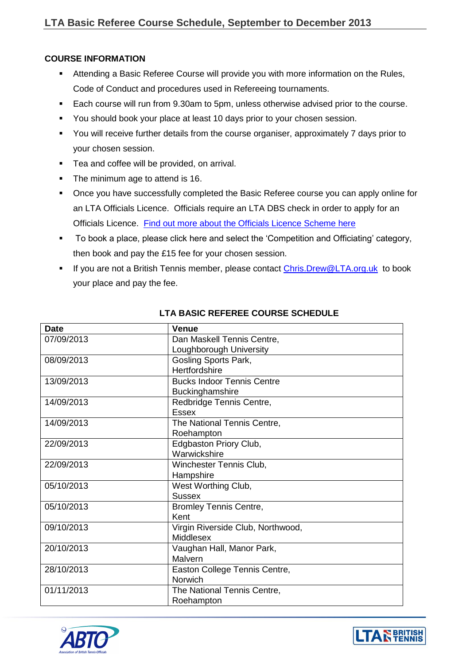## **COURSE INFORMATION**

- Attending a Basic Referee Course will provide you with more information on the Rules, Code of Conduct and procedures used in Refereeing tournaments.
- Each course will run from 9.30am to 5pm, unless otherwise advised prior to the course.
- You should book your place at least 10 days prior to your chosen session.
- You will receive further details from the course organiser, approximately 7 days prior to your chosen session.
- Tea and coffee will be provided, on arrival.
- The minimum age to attend is 16.
- Once you have successfully completed the Basic Referee course you can apply online for an LTA Officials Licence. Officials require an LTA DBS check in order to apply for an Officials Licence. [Find out more about the Officials Licence Scheme here](http://www.lta.org.uk/volunteers-officials/officialslicence/)
- To book a place, please click here and select the 'Competition and Officiating' category, then book and pay the £15 fee for your chosen session.
- If you are not a British Tennis member, please contact Chris. Drew@LTA.org.uk to book your place and pay the fee.

| <b>Date</b> | <b>Venue</b>                      |
|-------------|-----------------------------------|
| 07/09/2013  | Dan Maskell Tennis Centre,        |
|             | Loughborough University           |
| 08/09/2013  | Gosling Sports Park,              |
|             | Hertfordshire                     |
| 13/09/2013  | <b>Bucks Indoor Tennis Centre</b> |
|             | Buckinghamshire                   |
| 14/09/2013  | Redbridge Tennis Centre,          |
|             | <b>Essex</b>                      |
| 14/09/2013  | The National Tennis Centre,       |
|             | Roehampton                        |
| 22/09/2013  | Edgbaston Priory Club,            |
|             | Warwickshire                      |
| 22/09/2013  | Winchester Tennis Club,           |
|             | Hampshire                         |
| 05/10/2013  | West Worthing Club,               |
|             | <b>Sussex</b>                     |
| 05/10/2013  | <b>Bromley Tennis Centre,</b>     |
|             | Kent                              |
| 09/10/2013  | Virgin Riverside Club, Northwood, |
|             | Middlesex                         |
| 20/10/2013  | Vaughan Hall, Manor Park,         |
|             | Malvern                           |
| 28/10/2013  | Easton College Tennis Centre,     |
|             | <b>Norwich</b>                    |
| 01/11/2013  | The National Tennis Centre,       |
|             | Roehampton                        |

## **LTA BASIC REFEREE COURSE SCHEDULE**